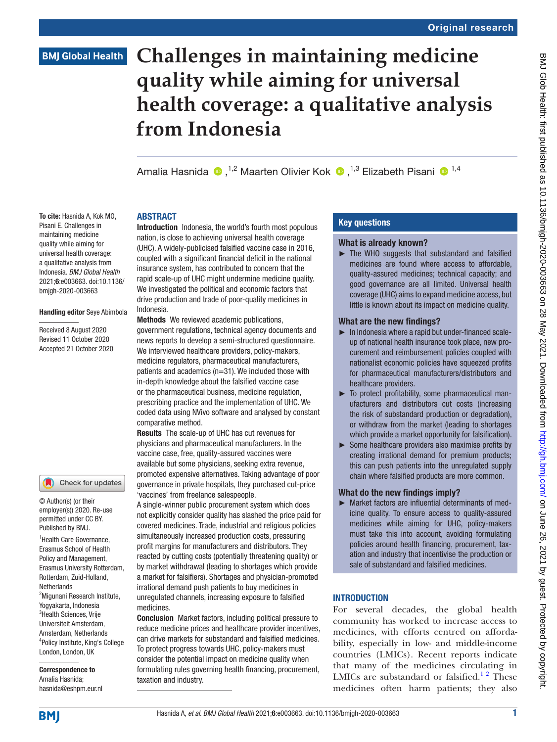# **BMJ Global Health**

To cite: Hasnida A, Kok MO, Pisani E. Challenges in maintaining medicine quality while aiming for universal health coverage: a qualitative analysis from Indonesia. *BMJ Global Health* 2021;6:e003663. doi:10.1136/ bmjgh-2020-003663

Handling editor Seye Abimbola

Received 8 August 2020 Revised 11 October 2020 Accepted 21 October 2020

<sup>1</sup> Health Care Governance, Erasmus School of Health Policy and Management, Erasmus University Rotterdam, Rotterdam, Zuid-Holland,

Check for updates

© Author(s) (or their employer(s)) 2020. Re-use permitted under CC BY. Published by BMJ.

<sup>2</sup>Migunani Research Institute, Yogyakarta, Indonesia <sup>3</sup>Health Sciences, Vrije Universiteit Amsterdam, Amsterdam, Netherlands 4 Policy Institute, King's College London, London, UK Correspondence to Amalia Hasnida; hasnida@eshpm.eur.nl

**Netherlands** 

# **Challenges in maintaining medicine quality while aiming for universal health coverage: a qualitative analysis from Indonesia**

AmaliaHasnida  $\bullet$ .<sup>1,2</sup> Maarten Olivier Kok  $\bullet$ .<sup>1,3</sup> Elizabeth Pisani  $\bullet$ <sup>1,4</sup>

# ABSTRACT

Introduction Indonesia, the world's fourth most populous nation, is close to achieving universal health coverage (UHC). A widely-publicised falsified vaccine case in 2016, coupled with a significant financial deficit in the national insurance system, has contributed to concern that the rapid scale-up of UHC might undermine medicine quality. We investigated the political and economic factors that drive production and trade of poor-quality medicines in Indonesia.

Methods We reviewed academic publications, government regulations, technical agency documents and news reports to develop a semi-structured questionnaire. We interviewed healthcare providers, policy-makers, medicine regulators, pharmaceutical manufacturers, patients and academics (n=31). We included those with in-depth knowledge about the falsified vaccine case or the pharmaceutical business, medicine regulation, prescribing practice and the implementation of UHC. We coded data using NVivo software and analysed by constant comparative method.

Results The scale-up of UHC has cut revenues for physicians and pharmaceutical manufacturers. In the vaccine case, free, quality-assured vaccines were available but some physicians, seeking extra revenue, promoted expensive alternatives. Taking advantage of poor governance in private hospitals, they purchased cut-price 'vaccines' from freelance salespeople.

A single-winner public procurement system which does not explicitly consider quality has slashed the price paid for covered medicines. Trade, industrial and religious policies simultaneously increased production costs, pressuring profit margins for manufacturers and distributors. They reacted by cutting costs (potentially threatening quality) or by market withdrawal (leading to shortages which provide a market for falsifiers). Shortages and physician-promoted irrational demand push patients to buy medicines in unregulated channels, increasing exposure to falsified medicines.

Conclusion Market factors, including political pressure to reduce medicine prices and healthcare provider incentives, can drive markets for substandard and falsified medicines. To protect progress towards UHC, policy-makers must consider the potential impact on medicine quality when formulating rules governing health financing, procurement, taxation and industry.

# Key questions

## What is already known?

► The WHO suggests that substandard and falsified medicines are found where access to affordable, quality-assured medicines; technical capacity; and good governance are all limited. Universal health coverage (UHC) aims to expand medicine access, but little is known about its impact on medicine quality.

# What are the new findings?

- ► In Indonesia where a rapid but under-financed scaleup of national health insurance took place, new procurement and reimbursement policies coupled with nationalist economic policies have squeezed profits for pharmaceutical manufacturers/distributors and healthcare providers.
- ► To protect profitability, some pharmaceutical manufacturers and distributors cut costs (increasing the risk of substandard production or degradation), or withdraw from the market (leading to shortages which provide a market opportunity for falsification).
- ► Some healthcare providers also maximise profits by creating irrational demand for premium products; this can push patients into the unregulated supply chain where falsified products are more common.

# What do the new findings imply?

► Market factors are influential determinants of medicine quality. To ensure access to quality-assured medicines while aiming for UHC, policy-makers must take this into account, avoiding formulating policies around health financing, procurement, taxation and industry that incentivise the production or sale of substandard and falsified medicines.

# **INTRODUCTION**

For several decades, the global health community has worked to increase access to medicines, with efforts centred on affordability, especially in low- and middle-income countries (LMICs). Recent reports indicate that many of the medicines circulating in LMICs are substandard or falsified.<sup>12</sup> These medicines often harm patients; they also

**BMI**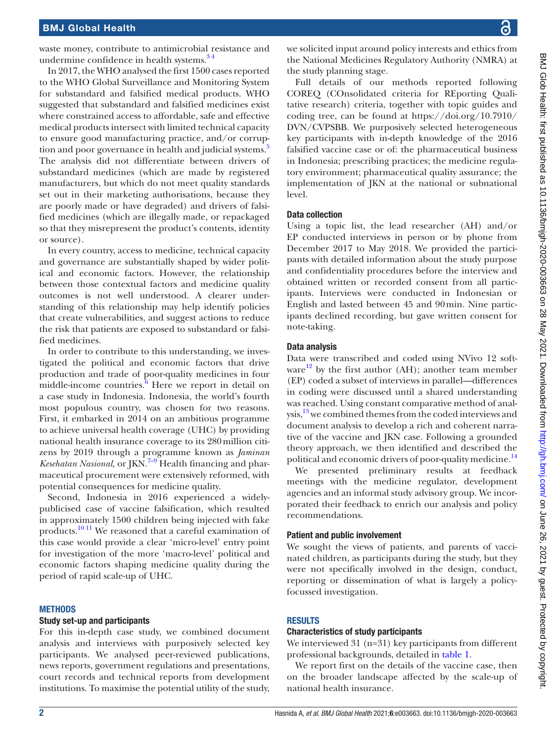waste money, contribute to antimicrobial resistance and undermine confidence in health systems. $3<sup>4</sup>$ 

In 2017, the WHO analysed the first 1500 cases reported to the WHO Global Surveillance and Monitoring System for substandard and falsified medical products. WHO suggested that substandard and falsified medicines exist where constrained access to affordable, safe and effective medical products intersect with limited technical capacity to ensure good manufacturing practice, and/or corrup-tion and poor governance in health and judicial systems.<sup>[5](#page-9-2)</sup> The analysis did not differentiate between drivers of substandard medicines (which are made by registered manufacturers, but which do not meet quality standards set out in their marketing authorisations, because they are poorly made or have degraded) and drivers of falsified medicines (which are illegally made, or repackaged so that they misrepresent the product's contents, identity or source).

In every country, access to medicine, technical capacity and governance are substantially shaped by wider political and economic factors. However, the relationship between those contextual factors and medicine quality outcomes is not well understood. A clearer understanding of this relationship may help identify policies that create vulnerabilities, and suggest actions to reduce the risk that patients are exposed to substandard or falsified medicines.

In order to contribute to this understanding, we investigated the political and economic factors that drive production and trade of poor-quality medicines in four  $m$ iddle-income countries. $\frac{6}{6}$  $\frac{6}{6}$  $\frac{6}{6}$  Here we report in detail on a case study in Indonesia. Indonesia, the world's fourth most populous country, was chosen for two reasons. First, it embarked in 2014 on an ambitious programme to achieve universal health coverage (UHC) by providing national health insurance coverage to its 280million citizens by 2019 through a programme known as *Jaminan Kesehatan Nasional,* or JKN.<sup>7-9</sup> Health financing and pharmaceutical procurement were extensively reformed, with potential consequences for medicine quality.

Second, Indonesia in 2016 experienced a widelypublicised case of vaccine falsification, which resulted in approximately 1500 children being injected with fake products.[10 11](#page-9-5) We reasoned that a careful examination of this case would provide a clear 'micro-level' entry point for investigation of the more 'macro-level' political and economic factors shaping medicine quality during the period of rapid scale-up of UHC.

#### **METHODS**

#### Study set-up and participants

For this in-depth case study, we combined document analysis and interviews with purposively selected key participants. We analysed peer-reviewed publications, news reports, government regulations and presentations, court records and technical reports from development institutions. To maximise the potential utility of the study,

we solicited input around policy interests and ethics from the National Medicines Regulatory Authority (NMRA) at the study planning stage.

Full details of our methods reported following COREQ (COnsolidated criteria for REporting Qualitative research) criteria, together with topic guides and coding tree, can be found at [https://doi.org/10.7910/](https://doi.org/10.7910/DVN/CVPSBB.) [DVN/CVPSBB](https://doi.org/10.7910/DVN/CVPSBB.). We purposively selected heterogeneous key participants with in-depth knowledge of the 2016 falsified vaccine case or of: the pharmaceutical business in Indonesia; prescribing practices; the medicine regulatory environment; pharmaceutical quality assurance; the implementation of JKN at the national or subnational level.

#### Data collection

Using a topic list, the lead researcher (AH) and/or EP conducted interviews in person or by phone from December 2017 to May 2018. We provided the participants with detailed information about the study purpose and confidentiality procedures before the interview and obtained written or recorded consent from all participants. Interviews were conducted in Indonesian or English and lasted between 45 and 90min. Nine participants declined recording, but gave written consent for note-taking.

#### Data analysis

Data were transcribed and coded using NVivo 12 software<sup>12</sup> by the first author (AH); another team member (EP) coded a subset of interviews in parallel—differences in coding were discussed until a shared understanding was reached. Using constant comparative method of analysis,<sup>13</sup> we combined themes from the coded interviews and document analysis to develop a rich and coherent narrative of the vaccine and JKN case. Following a grounded theory approach, we then identified and described the political and economic drivers of poor-quality medicine.<sup>14</sup>

We presented preliminary results at feedback meetings with the medicine regulator, development agencies and an informal study advisory group. We incorporated their feedback to enrich our analysis and policy recommendations.

#### Patient and public involvement

We sought the views of patients, and parents of vaccinated children, as participants during the study, but they were not specifically involved in the design, conduct, reporting or dissemination of what is largely a policyfocussed investigation.

#### RESULTS

#### Characteristics of study participants

We interviewed 31 (n=31) key participants from different professional backgrounds, detailed in [table](#page-2-0) 1.

We report first on the details of the vaccine case, then on the broader landscape affected by the scale-up of national health insurance.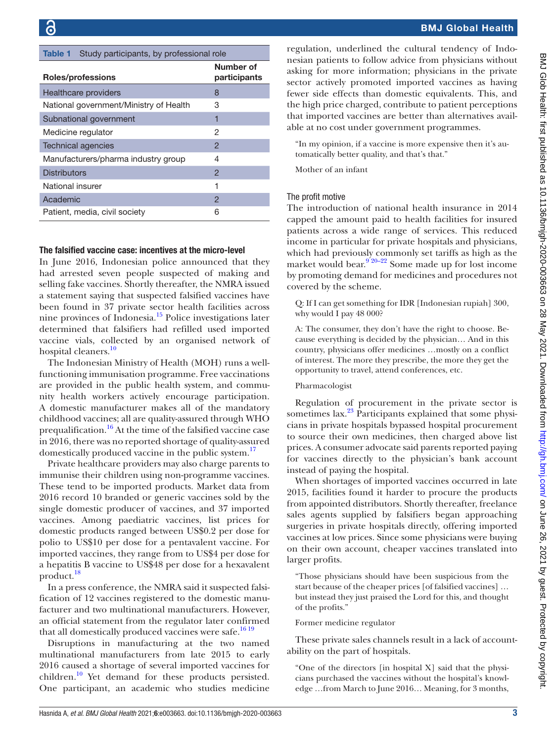<span id="page-2-0"></span>

| Study participants, by professional role<br><b>Table 1</b> |                           |  |
|------------------------------------------------------------|---------------------------|--|
| Roles/professions                                          | Number of<br>participants |  |
| <b>Healthcare providers</b>                                | 8                         |  |
| National government/Ministry of Health                     | 3                         |  |
| Subnational government                                     | 1                         |  |
| Medicine regulator                                         | 2                         |  |
| <b>Technical agencies</b>                                  | $\overline{2}$            |  |
| Manufacturers/pharma industry group                        | 4                         |  |
| <b>Distributors</b>                                        | $\overline{2}$            |  |
| National insurer                                           | 1                         |  |
| Academic                                                   | 2                         |  |
| Patient, media, civil society                              | 6                         |  |

#### The falsified vaccine case: incentives at the micro-level

In June 2016, Indonesian police announced that they had arrested seven people suspected of making and selling fake vaccines. Shortly thereafter, the NMRA issued a statement saying that suspected falsified vaccines have been found in 37 private sector health facilities across nine provinces of Indonesia.<sup>15</sup> Police investigations later determined that falsifiers had refilled used imported vaccine vials, collected by an organised network of hospital cleaners.<sup>[10](#page-9-5)</sup>

The Indonesian Ministry of Health (MOH) runs a wellfunctioning immunisation programme. Free vaccinations are provided in the public health system, and community health workers actively encourage participation. A domestic manufacturer makes all of the mandatory childhood vaccines; all are quality-assured through WHO prequalification[.16](#page-9-10) At the time of the falsified vaccine case in 2016, there was no reported shortage of quality-assured domestically produced vaccine in the public system.<sup>17</sup>

Private healthcare providers may also charge parents to immunise their children using non-programme vaccines. These tend to be imported products. Market data from 2016 record 10 branded or generic vaccines sold by the single domestic producer of vaccines, and 37 imported vaccines. Among paediatric vaccines, list prices for domestic products ranged between US\$0.2 per dose for polio to US\$10 per dose for a pentavalent vaccine. For imported vaccines, they range from to US\$4 per dose for a hepatitis B vaccine to US\$48 per dose for a hexavalent product.<sup>18</sup>

In a press conference, the NMRA said it suspected falsification of 12 vaccines registered to the domestic manufacturer and two multinational manufacturers. However, an official statement from the regulator later confirmed that all domestically produced vaccines were safe.<sup>[16 19](#page-9-10)</sup>

Disruptions in manufacturing at the two named multinational manufacturers from late 2015 to early 2016 caused a shortage of several imported vaccines for children.<sup>[10](#page-9-5)</sup> Yet demand for these products persisted. One participant, an academic who studies medicine regulation, underlined the cultural tendency of Indonesian patients to follow advice from physicians without asking for more information; physicians in the private sector actively promoted imported vaccines as having fewer side effects than domestic equivalents. This, and the high price charged, contribute to patient perceptions that imported vaccines are better than alternatives available at no cost under government programmes.

"In my opinion, if a vaccine is more expensive then it's automatically better quality, and that's that."

Mother of an infant

#### The profit motive

The introduction of national health insurance in 2014 capped the amount paid to health facilities for insured patients across a wide range of services. This reduced income in particular for private hospitals and physicians, which had previously commonly set tariffs as high as the market would bear.<sup>9'20–22</sup> Some made up for lost income by promoting demand for medicines and procedures not covered by the scheme.

Q: If I can get something for IDR [Indonesian rupiah] 300, why would I pay 48 000?

A: The consumer, they don't have the right to choose. Because everything is decided by the physician… And in this country, physicians offer medicines …mostly on a conflict of interest. The more they prescribe, the more they get the opportunity to travel, attend conferences, etc.

#### Pharmacologist

Regulation of procurement in the private sector is sometimes  $\arctan^{23}$  $\arctan^{23}$  $\arctan^{23}$  Participants explained that some physicians in private hospitals bypassed hospital procurement to source their own medicines, then charged above list prices. A consumer advocate said parents reported paying for vaccines directly to the physician's bank account instead of paying the hospital.

When shortages of imported vaccines occurred in late 2015, facilities found it harder to procure the products from appointed distributors. Shortly thereafter, freelance sales agents supplied by falsifiers began approaching surgeries in private hospitals directly, offering imported vaccines at low prices. Since some physicians were buying on their own account, cheaper vaccines translated into larger profits.

"Those physicians should have been suspicious from the start because of the cheaper prices [of falsified vaccines] … but instead they just praised the Lord for this, and thought of the profits."

Former medicine regulator

These private sales channels result in a lack of accountability on the part of hospitals.

"One of the directors [in hospital X] said that the physicians purchased the vaccines without the hospital's knowledge …from March to June 2016… Meaning, for 3 months,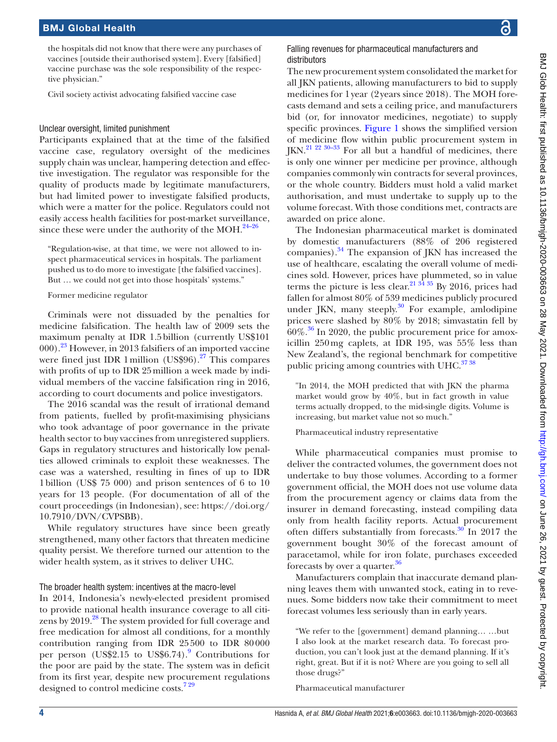the hospitals did not know that there were any purchases of vaccines [outside their authorised system]. Every [falsified] vaccine purchase was the sole responsibility of the respective physician."

Civil society activist advocating falsified vaccine case

#### Unclear oversight, limited punishment

Participants explained that at the time of the falsified vaccine case, regulatory oversight of the medicines supply chain was unclear, hampering detection and effective investigation. The regulator was responsible for the quality of products made by legitimate manufacturers, but had limited power to investigate falsified products, which were a matter for the police. Regulators could not easily access health facilities for post-market surveillance, since these were under the authority of the MOH. $^{24-26}$ 

"Regulation-wise, at that time, we were not allowed to inspect pharmaceutical services in hospitals. The parliament pushed us to do more to investigate [the falsified vaccines]. But … we could not get into those hospitals' systems."

Former medicine regulator

Criminals were not dissuaded by the penalties for medicine falsification. The health law of 2009 sets the maximum penalty at IDR 1.5billion (currently US\$101 000).[23](#page-9-14) However, in 2013 falsifiers of an imported vaccine were fined just IDR 1 million (US\$96).<sup>27</sup> This compares with profits of up to IDR 25million a week made by individual members of the vaccine falsification ring in 2016, according to court documents and police investigators.

The 2016 scandal was the result of irrational demand from patients, fuelled by profit-maximising physicians who took advantage of poor governance in the private health sector to buy vaccines from unregistered suppliers. Gaps in regulatory structures and historically low penalties allowed criminals to exploit these weaknesses. The case was a watershed, resulting in fines of up to IDR 1billion (US\$ 75 000) and prison sentences of 6 to 10 years for 13 people. (For documentation of all of the court proceedings (in Indonesian), see: [https://doi.org/](https://doi.org/10.7910/DVN/CVPSBB) [10.7910/DVN/CVPSBB\)](https://doi.org/10.7910/DVN/CVPSBB).

While regulatory structures have since been greatly strengthened, many other factors that threaten medicine quality persist. We therefore turned our attention to the wider health system, as it strives to deliver UHC.

#### The broader health system: incentives at the macro-level

In 2014, Indonesia's newly-elected president promised to provide national health insurance coverage to all citizens by 2019.<sup>28</sup> The system provided for full coverage and free medication for almost all conditions, for a monthly contribution ranging from IDR 25500 to IDR 80000 per person (US\$2.15 to US\$6.74).<sup>[9](#page-9-13)</sup> Contributions for the poor are paid by the state. The system was in deficit from its first year, despite new procurement regulations designed to control medicine costs.<sup>729</sup>

#### Falling revenues for pharmaceutical manufacturers and distributors

The new procurement system consolidated the market for all JKN patients, allowing manufacturers to bid to supply medicines for 1year (2years since 2018). The MOH forecasts demand and sets a ceiling price, and manufacturers bid (or, for innovator medicines, negotiate) to supply specific provinces. [Figure](#page-4-0) 1 shows the simplified version of medicine flow within public procurement system in  $IKN.<sup>21 22 30-33</sup>$  For all but a handful of medicines, there is only one winner per medicine per province, although companies commonly win contracts for several provinces, or the whole country. Bidders must hold a valid market authorisation, and must undertake to supply up to the volume forecast. With those conditions met, contracts are awarded on price alone.

The Indonesian pharmaceutical market is dominated by domestic manufacturers (88% of 206 registered companies). $34$  The expansion of JKN has increased the use of healthcare, escalating the overall volume of medicines sold. However, prices have plummeted, so in value terms the picture is less clear.<sup>[21 34 35](#page-9-18)</sup> By 2016, prices had fallen for almost 80% of 539 medicines publicly procured under JKN, many steeply. $30$  For example, amlodipine prices were slashed by 80% by 2018; simvastatin fell by  $60\%$ .<sup>36</sup> In 2020, the public procurement price for amoxicillin 250mg caplets, at IDR 195, was 55% less than New Zealand's, the regional benchmark for competitive public pricing among countries with UHC.<sup>3738</sup>

"In 2014, the MOH predicted that with JKN the pharma market would grow by 40%, but in fact growth in value terms actually dropped, to the mid-single digits. Volume is increasing, but market value not so much."

Pharmaceutical industry representative

While pharmaceutical companies must promise to deliver the contracted volumes, the government does not undertake to buy those volumes. According to a former government official, the MOH does not use volume data from the procurement agency or claims data from the insurer in demand forecasting, instead compiling data only from health facility reports. Actual procurement often differs substantially from forecasts.<sup>[30](#page-9-20)</sup> In 2017 the government bought 30% of the forecast amount of paracetamol, while for iron folate, purchases exceeded forecasts by over a quarter.<sup>30</sup>

Manufacturers complain that inaccurate demand planning leaves them with unwanted stock, eating in to revenues. Some bidders now take their commitment to meet forecast volumes less seriously than in early years.

"We refer to the [government] demand planning… …but I also look at the market research data. To forecast production, you can't look just at the demand planning. If it's right, great. But if it is not? Where are you going to sell all those drugs?"

Pharmaceutical manufacturer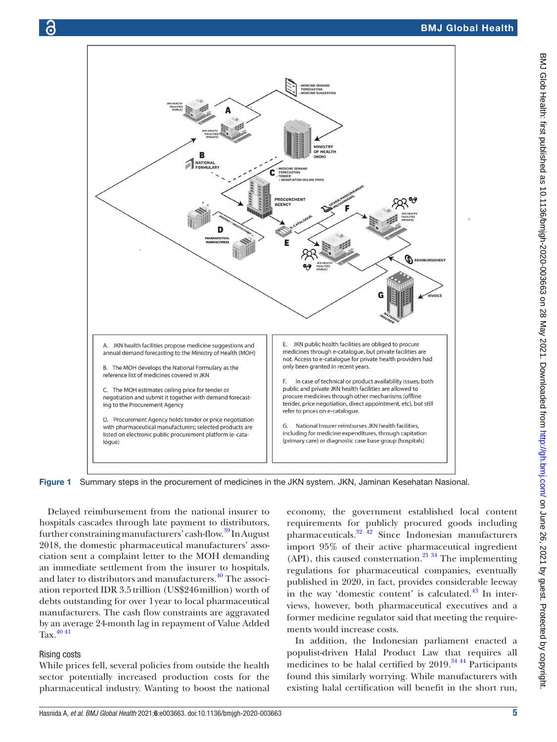

<span id="page-4-0"></span>Figure 1 Summary steps in the procurement of medicines in the JKN system. JKN, Jaminan Kesehatan Nasional.

Delayed reimbursement from the national insurer to hospitals cascades through late payment to distributors, further constraining manufacturers' cash-flow.<sup>[39](#page-9-23)</sup> In August 2018, the domestic pharmaceutical manufacturers' association sent a complaint letter to the MOH demanding an immediate settlement from the insurer to hospitals, and later to distributors and manufacturers.<sup>40</sup> The association reported IDR 3.5trillion (US\$246million) worth of debts outstanding for over 1year to local pharmaceutical manufacturers. The cash flow constraints are aggravated by an average 24-month lag in repayment of Value Added  $Tax.$ <sup>[40 41](#page-9-24)</sup>

#### Rising costs

While prices fell, several policies from outside the health sector potentially increased production costs for the pharmaceutical industry. Wanting to boost the national economy, the government established local content requirements for publicly procured goods including pharmaceuticals. $32 \frac{42}{12}$  Since Indonesian manufacturers import 95% of their active pharmaceutical ingredient  $(API)$ , this caused consternation.<sup>21 34</sup> The implementing regulations for pharmaceutical companies, eventually published in 2020, in fact, provides considerable leeway in the way 'domestic content' is calculated. $^{43}$  $^{43}$  $^{43}$  In interviews, however, both pharmaceutical executives and a former medicine regulator said that meeting the requirements would increase costs.

In addition, the Indonesian parliament enacted a populist-driven Halal Product Law that requires all medicines to be halal certified by  $2019$ .<sup>34 44</sup> Participants found this similarly worrying. While manufacturers with existing halal certification will benefit in the short run,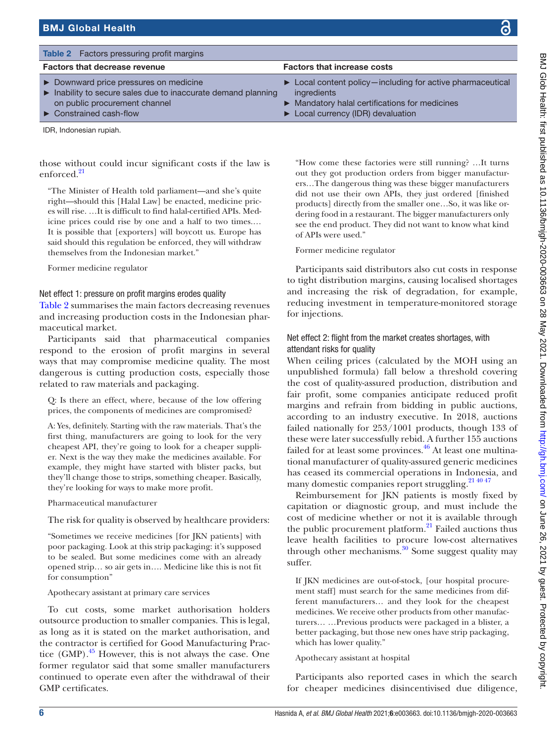<span id="page-5-0"></span>

| <b>Table 2</b> Factors pressuring profit margins                                                                                                                               |                                                                                                                                                                                                 |
|--------------------------------------------------------------------------------------------------------------------------------------------------------------------------------|-------------------------------------------------------------------------------------------------------------------------------------------------------------------------------------------------|
| <b>Factors that decrease revenue</b>                                                                                                                                           | <b>Factors that increase costs</b>                                                                                                                                                              |
| Downward price pressures on medicine<br>Inability to secure sales due to inaccurate demand planning<br>on public procurement channel<br>$\triangleright$ Constrained cash-flow | $\triangleright$ Local content policy—including for active pharmaceutical<br>ingredients<br>• Mandatory halal certifications for medicines<br>$\triangleright$ Local currency (IDR) devaluation |

IDR, Indonesian rupiah.

those without could incur significant costs if the law is enforced.[21](#page-9-18)

"The Minister of Health told parliament—and she's quite right—should this [Halal Law] be enacted, medicine prices will rise. …It is difficult to find halal-certified APIs. Medicine prices could rise by one and a half to two times.… It is possible that [exporters] will boycott us. Europe has said should this regulation be enforced, they will withdraw themselves from the Indonesian market."

Former medicine regulator

Net effect 1: pressure on profit margins erodes quality

[Table](#page-5-0) 2 summarises the main factors decreasing revenues and increasing production costs in the Indonesian pharmaceutical market.

Participants said that pharmaceutical companies respond to the erosion of profit margins in several ways that may compromise medicine quality. The most dangerous is cutting production costs, especially those related to raw materials and packaging.

Q: Is there an effect, where, because of the low offering prices, the components of medicines are compromised?

A: Yes, definitely. Starting with the raw materials. That's the first thing, manufacturers are going to look for the very cheapest API, they're going to look for a cheaper supplier. Next is the way they make the medicines available. For example, they might have started with blister packs, but they'll change those to strips, something cheaper. Basically, they're looking for ways to make more profit.

Pharmaceutical manufacturer

The risk for quality is observed by healthcare providers:

"Sometimes we receive medicines [for JKN patients] with poor packaging. Look at this strip packaging: it's supposed to be sealed. But some medicines come with an already opened strip… so air gets in…. Medicine like this is not fit for consumption"

Apothecary assistant at primary care services

To cut costs, some market authorisation holders outsource production to smaller companies. This is legal, as long as it is stated on the market authorisation, and the contractor is certified for Good Manufacturing Practice  $(GMP)$ .<sup>45</sup> However, this is not always the case. One former regulator said that some smaller manufacturers continued to operate even after the withdrawal of their GMP certificates.

"How come these factories were still running? …It turns out they got production orders from bigger manufacturers…The dangerous thing was these bigger manufacturers did not use their own APIs, they just ordered [finished products] directly from the smaller one…So, it was like ordering food in a restaurant. The bigger manufacturers only see the end product. They did not want to know what kind of APIs were used."

Former medicine regulator

Participants said distributors also cut costs in response to tight distribution margins, causing localised shortages and increasing the risk of degradation, for example, reducing investment in temperature-monitored storage for injections.

## Net effect 2: flight from the market creates shortages, with attendant risks for quality

When ceiling prices (calculated by the MOH using an unpublished formula) fall below a threshold covering the cost of quality-assured production, distribution and fair profit, some companies anticipate reduced profit margins and refrain from bidding in public auctions, according to an industry executive. In 2018, auctions failed nationally for 253/1001 products, though 133 of these were later successfully rebid. A further 155 auctions failed for at least some provinces.<sup>46</sup> At least one multinational manufacturer of quality-assured generic medicines has ceased its commercial operations in Indonesia, and many domestic companies report struggling.<sup>21 40 47</sup>

Reimbursement for JKN patients is mostly fixed by capitation or diagnostic group, and must include the cost of medicine whether or not it is available through the public procurement platform. $^{21}$  Failed auctions thus leave health facilities to procure low-cost alternatives through other mechanisms. $30$  Some suggest quality may suffer.

If JKN medicines are out-of-stock, [our hospital procurement staff] must search for the same medicines from different manufacturers… and they look for the cheapest medicines. We receive other products from other manufacturers… …Previous products were packaged in a blister, a better packaging, but those new ones have strip packaging, which has lower quality."

## Apothecary assistant at hospital

Participants also reported cases in which the search for cheaper medicines disincentivised due diligence,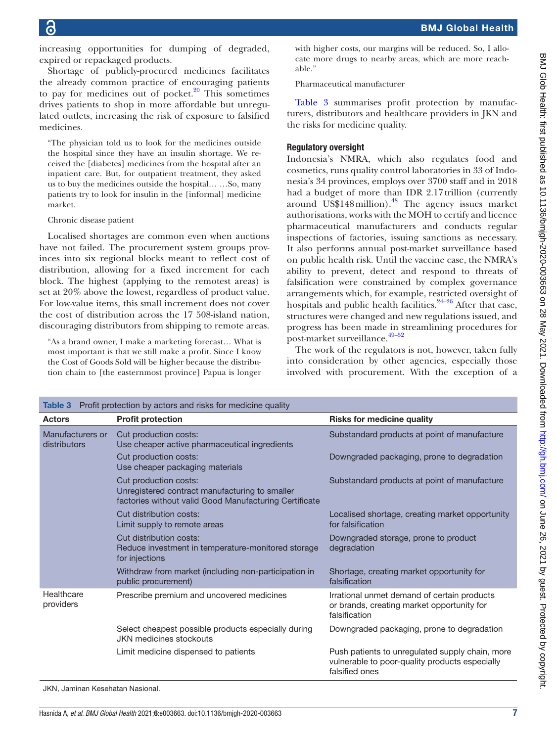increasing opportunities for dumping of degraded, expired or repackaged products.

Shortage of publicly-procured medicines facilitates the already common practice of encouraging patients to pay for medicines out of pocket. $20$  This sometimes drives patients to shop in more affordable but unregulated outlets, increasing the risk of exposure to falsified medicines.

"The physician told us to look for the medicines outside the hospital since they have an insulin shortage. We received the [diabetes] medicines from the hospital after an inpatient care. But, for outpatient treatment, they asked us to buy the medicines outside the hospital… …So, many patients try to look for insulin in the [informal] medicine market.

#### Chronic disease patient

Localised shortages are common even when auctions have not failed. The procurement system groups provinces into six regional blocks meant to reflect cost of distribution, allowing for a fixed increment for each block. The highest (applying to the remotest areas) is set at 20% above the lowest, regardless of product value. For low-value items, this small increment does not cover the cost of distribution across the 17 508-island nation, discouraging distributors from shipping to remote areas.

"As a brand owner, I make a marketing forecast… What is most important is that we still make a profit. Since I know the Cost of Goods Sold will be higher because the distribution chain to [the easternmost province] Papua is longer

with higher costs, our margins will be reduced. So, I allocate more drugs to nearby areas, which are more reachable."

Pharmaceutical manufacturer

[Table](#page-6-0) 3 summarises profit protection by manufacturers, distributors and healthcare providers in JKN and the risks for medicine quality.

#### Regulatory oversight

Indonesia's NMRA, which also regulates food and cosmetics, runs quality control laboratories in 33 of Indonesia's 34 provinces, employs over 3700 staff and in 2018 had a budget of more than IDR 2.17 trillion (currently around US\$148 $m$ illion).<sup>48</sup> The agency issues market authorisations, works with the MOH to certify and licence pharmaceutical manufacturers and conducts regular inspections of factories, issuing sanctions as necessary. It also performs annual post-market surveillance based on public health risk. Until the vaccine case, the NMRA's ability to prevent, detect and respond to threats of falsification were constrained by complex governance arrangements which, for example, restricted oversight of hospitals and public health facilities. $24-26$  After that case, structures were changed and new regulations issued, and progress has been made in streamlining procedures for post-market surveillance.<sup>49-52</sup>

The work of the regulators is not, however, taken fully into consideration by other agencies, especially those involved with procurement. With the exception of a

<span id="page-6-0"></span>

| Profit protection by actors and risks for medicine quality<br>Table 3 |                                                                                                                                   |                                                                                                                     |  |
|-----------------------------------------------------------------------|-----------------------------------------------------------------------------------------------------------------------------------|---------------------------------------------------------------------------------------------------------------------|--|
| <b>Actors</b>                                                         | <b>Profit protection</b>                                                                                                          | <b>Risks for medicine quality</b>                                                                                   |  |
| Manufacturers or<br>distributors                                      | Cut production costs:<br>Use cheaper active pharmaceutical ingredients                                                            | Substandard products at point of manufacture                                                                        |  |
|                                                                       | Cut production costs:<br>Use cheaper packaging materials                                                                          | Downgraded packaging, prone to degradation                                                                          |  |
|                                                                       | Cut production costs:<br>Unregistered contract manufacturing to smaller<br>factories without valid Good Manufacturing Certificate | Substandard products at point of manufacture                                                                        |  |
|                                                                       | Cut distribution costs:<br>Limit supply to remote areas                                                                           | Localised shortage, creating market opportunity<br>for falsification                                                |  |
|                                                                       | Cut distribution costs:<br>Reduce investment in temperature-monitored storage<br>for injections                                   | Downgraded storage, prone to product<br>degradation                                                                 |  |
|                                                                       | Withdraw from market (including non-participation in<br>public procurement)                                                       | Shortage, creating market opportunity for<br>falsification                                                          |  |
| Healthcare<br>providers                                               | Prescribe premium and uncovered medicines                                                                                         | Irrational unmet demand of certain products<br>or brands, creating market opportunity for<br>falsification          |  |
|                                                                       | Select cheapest possible products especially during<br><b>JKN</b> medicines stockouts                                             | Downgraded packaging, prone to degradation                                                                          |  |
|                                                                       | Limit medicine dispensed to patients                                                                                              | Push patients to unregulated supply chain, more<br>vulnerable to poor-quality products especially<br>falsified ones |  |

JKN, Jaminan Kesehatan Nasional.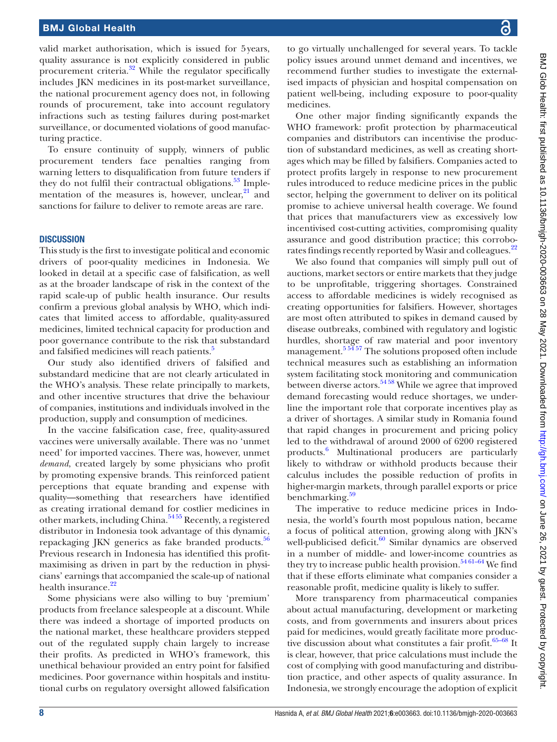valid market authorisation, which is issued for 5years, quality assurance is not explicitly considered in public procurement criteria.[32](#page-9-25) While the regulator specifically includes JKN medicines in its post-market surveillance, the national procurement agency does not, in following rounds of procurement, take into account regulatory infractions such as testing failures during post-market surveillance, or documented violations of good manufacturing practice.

To ensure continuity of supply, winners of public procurement tenders face penalties ranging from warning letters to disqualification from future tenders if they do not fulfil their contractual obligations.<sup>53</sup> Implementation of the measures is, however, unclear, $21$  and sanctions for failure to deliver to remote areas are rare.

#### **DISCUSSION**

This study is the first to investigate political and economic drivers of poor-quality medicines in Indonesia. We looked in detail at a specific case of falsification, as well as at the broader landscape of risk in the context of the rapid scale-up of public health insurance. Our results confirm a previous global analysis by WHO, which indicates that limited access to affordable, quality-assured medicines, limited technical capacity for production and poor governance contribute to the risk that substandard and falsified medicines will reach patients.<sup>5</sup>

Our study also identified drivers of falsified and substandard medicine that are not clearly articulated in the WHO's analysis. These relate principally to markets, and other incentive structures that drive the behaviour of companies, institutions and individuals involved in the production, supply and consumption of medicines.

In the vaccine falsification case, free, quality-assured vaccines were universally available. There was no 'unmet need' for imported vaccines. There was, however, unmet *demand*, created largely by some physicians who profit by promoting expensive brands. This reinforced patient perceptions that equate branding and expense with quality—something that researchers have identified as creating irrational demand for costlier medicines in other markets, including China.[54 55](#page-10-5) Recently, a registered distributor in Indonesia took advantage of this dynamic, repackaging JKN generics as fake branded products.<sup>[56](#page-10-6)</sup> Previous research in Indonesia has identified this profitmaximising as driven in part by the reduction in physicians' earnings that accompanied the scale-up of national health insurance.<sup>[22](#page-9-28)</sup>

Some physicians were also willing to buy 'premium' products from freelance salespeople at a discount. While there was indeed a shortage of imported products on the national market, these healthcare providers stepped out of the regulated supply chain largely to increase their profits. As predicted in WHO's framework, this unethical behaviour provided an entry point for falsified medicines. Poor governance within hospitals and institutional curbs on regulatory oversight allowed falsification

to go virtually unchallenged for several years. To tackle policy issues around unmet demand and incentives, we recommend further studies to investigate the externalised impacts of physician and hospital compensation on patient well-being, including exposure to poor-quality medicines.

One other major finding significantly expands the WHO framework: profit protection by pharmaceutical companies and distributors can incentivise the production of substandard medicines, as well as creating shortages which may be filled by falsifiers. Companies acted to protect profits largely in response to new procurement rules introduced to reduce medicine prices in the public sector, helping the government to deliver on its political promise to achieve universal health coverage. We found that prices that manufacturers view as excessively low incentivised cost-cutting activities, compromising quality assurance and good distribution practice; this corrobo-rates findings recently reported by Wasir and colleagues.<sup>[22](#page-9-28)</sup>

We also found that companies will simply pull out of auctions, market sectors or entire markets that they judge to be unprofitable, triggering shortages. Constrained access to affordable medicines is widely recognised as creating opportunities for falsifiers. However, shortages are most often attributed to spikes in demand caused by disease outbreaks, combined with regulatory and logistic hurdles, shortage of raw material and poor inventory management.<sup>[5 54 57](#page-9-2)</sup> The solutions proposed often include technical measures such as establishing an information system facilitating stock monitoring and communication between diverse actors.[54 58](#page-10-5) While we agree that improved demand forecasting would reduce shortages, we underline the important role that corporate incentives play as a driver of shortages. A similar study in Romania found that rapid changes in procurement and pricing policy led to the withdrawal of around 2000 of 6200 registered products.[6](#page-9-3) Multinational producers are particularly likely to withdraw or withhold products because their calculus includes the possible reduction of profits in higher-margin markets, through parallel exports or price benchmarking. $59$ 

The imperative to reduce medicine prices in Indonesia, the world's fourth most populous nation, became a focus of political attention, growing along with JKN's well-publicised deficit.<sup>60</sup> Similar dynamics are observed in a number of middle- and lower-income countries as they try to increase public health provision.<sup>54 61–64</sup> We find that if these efforts eliminate what companies consider a reasonable profit, medicine quality is likely to suffer.

More transparency from pharmaceutical companies about actual manufacturing, development or marketing costs, and from governments and insurers about prices paid for medicines, would greatly facilitate more productive discussion about what constitutes a fair profit. $65-68$  It is clear, however, that price calculations must include the cost of complying with good manufacturing and distribution practice, and other aspects of quality assurance. In Indonesia, we strongly encourage the adoption of explicit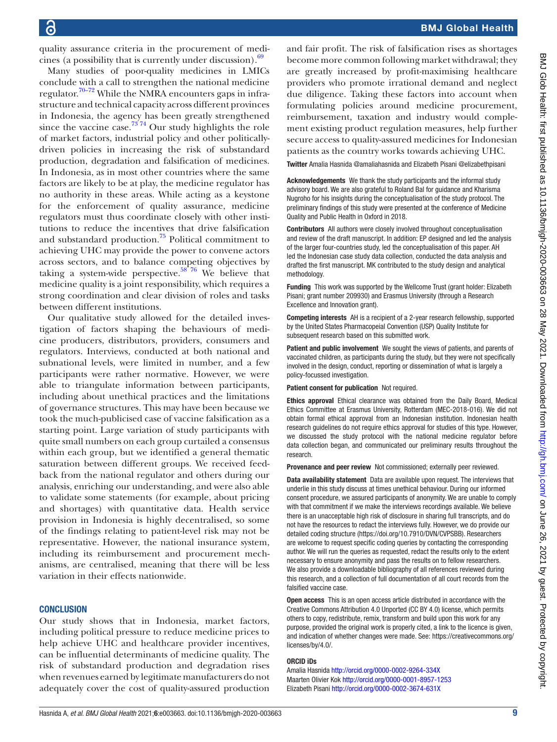quality assurance criteria in the procurement of medicines (a possibility that is currently under discussion). $69$ 

Many studies of poor-quality medicines in LMICs conclude with a call to strengthen the national medicine regulator.<sup>[70–72](#page-10-11)</sup> While the NMRA encounters gaps in infrastructure and technical capacity across different provinces in Indonesia, the agency has been greatly strengthened since the vaccine case.<sup>73</sup> 74 Our study highlights the role of market factors, industrial policy and other politicallydriven policies in increasing the risk of substandard production, degradation and falsification of medicines. In Indonesia, as in most other countries where the same factors are likely to be at play, the medicine regulator has no authority in these areas. While acting as a keystone for the enforcement of quality assurance, medicine regulators must thus coordinate closely with other institutions to reduce the incentives that drive falsification and substandard production.[75](#page-10-13) Political commitment to achieving UHC may provide the power to convene actors across sectors, and to balance competing objectives by taking a system-wide perspective.<sup>58 76</sup> We believe that medicine quality is a joint responsibility, which requires a strong coordination and clear division of roles and tasks between different institutions.

Our qualitative study allowed for the detailed investigation of factors shaping the behaviours of medicine producers, distributors, providers, consumers and regulators. Interviews, conducted at both national and subnational levels, were limited in number, and a few participants were rather normative. However, we were able to triangulate information between participants, including about unethical practices and the limitations of governance structures. This may have been because we took the much-publicised case of vaccine falsification as a starting point. Large variation of study participants with quite small numbers on each group curtailed a consensus within each group, but we identified a general thematic saturation between different groups. We received feedback from the national regulator and others during our analysis, enriching our understanding, and were also able to validate some statements (for example, about pricing and shortages) with quantitative data. Health service provision in Indonesia is highly decentralised, so some of the findings relating to patient-level risk may not be representative. However, the national insurance system, including its reimbursement and procurement mechanisms, are centralised, meaning that there will be less variation in their effects nationwide.

#### **CONCLUSION**

Our study shows that in Indonesia, market factors, including political pressure to reduce medicine prices to help achieve UHC and healthcare provider incentives, can be influential determinants of medicine quality. The risk of substandard production and degradation rises when revenues earned by legitimate manufacturers do not adequately cover the cost of quality-assured production

#### BMJ Global Health

and fair profit. The risk of falsification rises as shortages become more common following market withdrawal; they are greatly increased by profit-maximising healthcare providers who promote irrational demand and neglect due diligence. Taking these factors into account when formulating policies around medicine procurement, reimbursement, taxation and industry would complement existing product regulation measures, help further secure access to quality-assured medicines for Indonesian patients as the country works towards achieving UHC.

Twitter Amalia Hasnida [@amaliahasnida](https://twitter.com/amaliahasnida) and Elizabeth Pisani [@elizabethpisani](https://twitter.com/elizabethpisani)

Acknowledgements We thank the study participants and the informal study advisory board. We are also grateful to Roland Bal for guidance and Kharisma Nugroho for his insights during the conceptualisation of the study protocol. The preliminary findings of this study were presented at the conference of Medicine Quality and Public Health in Oxford in 2018.

Contributors All authors were closely involved throughout conceptualisation and review of the draft manuscript. In addition: EP designed and led the analysis of the larger four-countries study, led the conceptualisation of this paper. AH led the Indonesian case study data collection, conducted the data analysis and drafted the first manuscript. MK contributed to the study design and analytical methodology.

Funding This work was supported by the Wellcome Trust (grant holder: Elizabeth Pisani; grant number 209930) and Erasmus University (through a Research Excellence and Innovation grant).

Competing interests AH is a recipient of a 2-year research fellowship, supported by the United States Pharmacopeial Convention (USP) Quality Institute for subsequent research based on this submitted work.

Patient and public involvement We sought the views of patients, and parents of vaccinated children, as participants during the study, but they were not specifically involved in the design, conduct, reporting or dissemination of what is largely a policy-focussed investigation.

Patient consent for publication Not required.

Ethics approval Ethical clearance was obtained from the Daily Board, Medical Ethics Committee at Erasmus University, Rotterdam (MEC-2018-016). We did not obtain formal ethical approval from an Indonesian institution. Indonesian health research guidelines do not require ethics approval for studies of this type. However, we discussed the study protocol with the national medicine regulator before data collection began, and communicated our preliminary results throughout the research.

Provenance and peer review Not commissioned; externally peer reviewed.

Data availability statement Data are available upon request. The interviews that underlie in this study discuss at times unethical behaviour. During our informed consent procedure, we assured participants of anonymity. We are unable to comply with that commitment if we make the interviews recordings available. We believe there is an unacceptable high risk of disclosure in sharing full transcripts, and do not have the resources to redact the interviews fully. However, we do provide our detailed coding structure [\(https://doi.org/10.7910/DVN/CVPSBB](https://doi.org/10.7910/DVN/CVPSBB)). Researchers are welcome to request specific coding queries by contacting the corresponding author. We will run the queries as requested, redact the results only to the extent necessary to ensure anonymity and pass the results on to fellow researchers. We also provide a downloadable bibliography of all references reviewed during this research, and a collection of full documentation of all court records from the falsified vaccine case.

Open access This is an open access article distributed in accordance with the Creative Commons Attribution 4.0 Unported (CC BY 4.0) license, which permits others to copy, redistribute, remix, transform and build upon this work for any purpose, provided the original work is properly cited, a link to the licence is given, and indication of whether changes were made. See: [https://creativecommons.org/](https://creativecommons.org/licenses/by/4.0/) [licenses/by/4.0/](https://creativecommons.org/licenses/by/4.0/).

#### ORCID iDs

Amalia Hasnida <http://orcid.org/0000-0002-9264-334X> Maarten Olivier Kok <http://orcid.org/0000-0001-8957-1253> Elizabeth Pisani<http://orcid.org/0000-0002-3674-631X>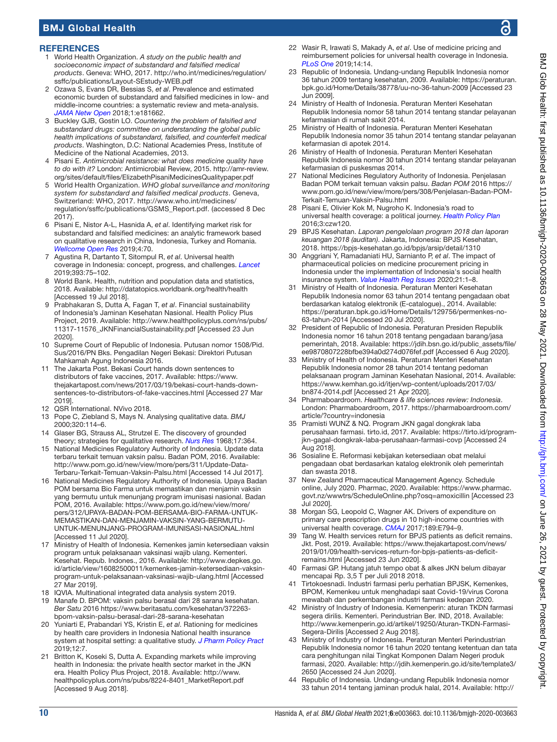#### **REFERENCES**

- <span id="page-9-0"></span>1 World Health Organization. *A study on the public health and socioeconomic impact of substandard and falsified medical products*. Geneva: WHO, 2017. [http://who.int/medicines/regulation/](http://who.int/medicines/regulation/ssffc/publications/Layout-SEstudy-WEB.pdf) [ssffc/publications/Layout-SEstudy-WEB.pdf](http://who.int/medicines/regulation/ssffc/publications/Layout-SEstudy-WEB.pdf)
- 2 Ozawa S, Evans DR, Bessias S, *et al*. Prevalence and estimated economic burden of substandard and falsified medicines in low- and middle-income countries: a systematic review and meta-analysis. *[JAMA Netw Open](http://dx.doi.org/10.1001/jamanetworkopen.2018.1662)* 2018;1:e181662.
- <span id="page-9-1"></span>3 Buckley GJB, Gostin LO. *Countering the problem of falsified and substandard drugs: committee on understanding the global public health implications of substandard, falsified, and counterfeit medical products*. Washington, D.C: National Academies Press, Institute of Medicine of the National Academies, 2013.
- 4 Pisani E. *Antimicrobial resistance: what does medicine quality have to do with it?* London: Antimicrobial Review, 2015. [http://amr-review.](http://amr-review.org/sites/default/files/ElizabethPisaniMedicinesQualitypaper.pdf) [org/sites/default/files/ElizabethPisaniMedicinesQualitypaper.pdf](http://amr-review.org/sites/default/files/ElizabethPisaniMedicinesQualitypaper.pdf)
- <span id="page-9-2"></span>5 World Health Organization. *WHO global surveillance and monitoring system for substandard and falsified medical products*. Geneva, Switzerland: WHO, 2017. [http://www.who.int/medicines/](http://www.who.int/medicines/regulation/ssffc/publications/GSMS_Report.pdf) [regulation/ssffc/publications/GSMS\\_Report.pdf.](http://www.who.int/medicines/regulation/ssffc/publications/GSMS_Report.pdf) (accessed 8 Dec 2017).
- <span id="page-9-3"></span>6 Pisani E, Nistor A-L, Hasnida A, *et al*. Identifying market risk for substandard and falsified medicines: an analytic framework based on qualitative research in China, Indonesia, Turkey and Romania. *[Wellcome Open Res](http://dx.doi.org/10.12688/wellcomeopenres.15236.1)* 2019;4:70.
- <span id="page-9-4"></span>7 Agustina R, Dartanto T, Sitompul R, *et al*. Universal health coverage in Indonesia: concept, progress, and challenges. *[Lancet](http://dx.doi.org/10.1016/S0140-6736(18)31647-7)* 2019;393:75–102.
- 8 World Bank. Health, nutrition and population data and statistics, 2018. Available:<http://datatopics.worldbank.org/health/health> [Accessed 19 Jul 2018].
- <span id="page-9-13"></span>9 Prabhakaran S, Dutta A, Fagan T, *et al*. Financial sustainability of Indonesia's Jaminan Kesehatan Nasional. Health Policy Plus Project, 2019. Available: [http://www.healthpolicyplus.com/ns/pubs/](http://www.healthpolicyplus.com/ns/pubs/11317-11576_JKNFinancialSustainability.pdf) [11317-11576\\_JKNFinancialSustainability.pdf](http://www.healthpolicyplus.com/ns/pubs/11317-11576_JKNFinancialSustainability.pdf) [Accessed 23 Jun 2020].
- <span id="page-9-5"></span>10 Supreme Court of Republic of Indonesia. Putusan nomor 1508/Pid. Sus/2016/PN Bks. Pengadilan Negeri Bekasi: Direktori Putusan Mahkamah Agung Indonesia 2016.
- 11 The Jakarta Post. Bekasi Court hands down sentences to distributors of fake vaccines, 2017. Available: [https://www.](https://www.thejakartapost.com/news/2017/03/19/bekasi-court-hands-down-sentences-to-distributors-of-fake-vaccines.html) [thejakartapost.com/news/2017/03/19/bekasi-court-hands-down](https://www.thejakartapost.com/news/2017/03/19/bekasi-court-hands-down-sentences-to-distributors-of-fake-vaccines.html)[sentences-to-distributors-of-fake-vaccines.html](https://www.thejakartapost.com/news/2017/03/19/bekasi-court-hands-down-sentences-to-distributors-of-fake-vaccines.html) [Accessed 27 Mar 2019].
- <span id="page-9-6"></span>12 QSR International. NVivo 2018.
- <span id="page-9-7"></span>13 Pope C, Ziebland S, Mays N. Analysing qualitative data. *BMJ* 2000;320:114–6.
- <span id="page-9-8"></span>14 Glaser BG, Strauss AL, Strutzel E. The discovery of grounded theory; strategies for qualitative research. *[Nurs Res](http://dx.doi.org/10.1097/00006199-196807000-00014)* 1968;17:364.
- <span id="page-9-9"></span>15 National Medicines Regulatory Authority of Indonesia. Update data terbaru terkait temuan vaksin palsu. Badan POM, 2016. Available: [http://www.pom.go.id/new/view/more/pers/311/Update-Data-](http://www.pom.go.id/new/view/more/pers/311/Update-Data-Terbaru-Terkait-Temuan-Vaksin-Palsu.html)[Terbaru-Terkait-Temuan-Vaksin-Palsu.html](http://www.pom.go.id/new/view/more/pers/311/Update-Data-Terbaru-Terkait-Temuan-Vaksin-Palsu.html) [Accessed 14 Jul 2017].
- <span id="page-9-10"></span>16 National Medicines Regulatory Authority of Indonesia. Upaya Badan POM bersama Bio Farma untuk memastikan dan menjamin vaksin yang bermutu untuk menunjang program imunisasi nasional. Badan POM, 2016. Available: [https://www.pom.go.id/new/view/more/](https://www.pom.go.id/new/view/more/pers/312/UPAYA-BADAN-POM-BERSAMA-BIO-FARMA-UNTUK-MEMASTIKAN-DAN-MENJAMIN-VAKSIN-YANG-BERMUTU-UNTUK-MENUNJANG-PROGRAM-IMUNISASI-NASIONAL.html) [pers/312/UPAYA-BADAN-POM-BERSAMA-BIO-FARMA-UNTUK-](https://www.pom.go.id/new/view/more/pers/312/UPAYA-BADAN-POM-BERSAMA-BIO-FARMA-UNTUK-MEMASTIKAN-DAN-MENJAMIN-VAKSIN-YANG-BERMUTU-UNTUK-MENUNJANG-PROGRAM-IMUNISASI-NASIONAL.html)[MEMASTIKAN-DAN-MENJAMIN-VAKSIN-YANG-BERMUTU-](https://www.pom.go.id/new/view/more/pers/312/UPAYA-BADAN-POM-BERSAMA-BIO-FARMA-UNTUK-MEMASTIKAN-DAN-MENJAMIN-VAKSIN-YANG-BERMUTU-UNTUK-MENUNJANG-PROGRAM-IMUNISASI-NASIONAL.html)[UNTUK-MENUNJANG-PROGRAM-IMUNISASI-NASIONAL.html](https://www.pom.go.id/new/view/more/pers/312/UPAYA-BADAN-POM-BERSAMA-BIO-FARMA-UNTUK-MEMASTIKAN-DAN-MENJAMIN-VAKSIN-YANG-BERMUTU-UNTUK-MENUNJANG-PROGRAM-IMUNISASI-NASIONAL.html) [Accessed 11 Jul 2020].
- <span id="page-9-11"></span>17 Ministry of Health of Indonesia. Kemenkes jamin ketersediaan vaksin program untuk pelaksanaan vaksinasi wajib ulang. Kementeri. Kesehat. Repub. Indones., 2016. Available: [http://www.depkes.go.](http://www.depkes.go.id/article/view/16082500011/kemenkes-jamin-ketersediaan-vaksin-program-untuk-pelaksanaan-vaksinasi-wajib-ulang.html) [id/article/view/16082500011/kemenkes-jamin-ketersediaan-vaksin](http://www.depkes.go.id/article/view/16082500011/kemenkes-jamin-ketersediaan-vaksin-program-untuk-pelaksanaan-vaksinasi-wajib-ulang.html)[program-untuk-pelaksanaan-vaksinasi-wajib-ulang.html](http://www.depkes.go.id/article/view/16082500011/kemenkes-jamin-ketersediaan-vaksin-program-untuk-pelaksanaan-vaksinasi-wajib-ulang.html) [Accessed 27 Mar 2019].
- <span id="page-9-12"></span>18 IQVIA. Multinational integrated data analysis system 2019.
- 19 Manafe D. BPOM: vaksin palsu berasal dari 28 sarana kesehatan. *Ber Satu* 2016 [https://www.beritasatu.com/kesehatan/372263](https://www.beritasatu.com/kesehatan/372263-bpom-vaksin-palsu-berasal-dari-28-sarana-kesehatan) [bpom-vaksin-palsu-berasal-dari-28-sarana-kesehatan](https://www.beritasatu.com/kesehatan/372263-bpom-vaksin-palsu-berasal-dari-28-sarana-kesehatan)
- <span id="page-9-27"></span>20 Yuniarti E, Prabandari YS, Kristin E, *et al*. Rationing for medicines by health care providers in Indonesia National health insurance system at hospital setting: a qualitative study. *[J Pharm Policy Pract](http://dx.doi.org/10.1186/s40545-019-0170-5)* 2019;12:7.
- <span id="page-9-18"></span>21 Britton K, Koseki S, Dutta A. Expanding markets while improving health in Indonesia: the private health sector market in the JKN era. Health Policy Plus Project, 2018. Available: [http://www.](http://www.healthpolicyplus.com/ns/pubs/8224-8401_MarketReport.pdf) [healthpolicyplus.com/ns/pubs/8224-8401\\_MarketReport.pdf](http://www.healthpolicyplus.com/ns/pubs/8224-8401_MarketReport.pdf)  [Accessed 9 Aug 2018].
- <span id="page-9-28"></span>22 Wasir R, Irawati S, Makady A, *et al*. Use of medicine pricing and reimbursement policies for universal health coverage in Indonesia. *[PLoS One](http://dx.doi.org/10.1371/journal.pone.0212328)* 2019;14:14.
- <span id="page-9-14"></span>23 Republic of Indonesia. Undang-undang Republik Indonesia nomor 36 tahun 2009 tentang kesehatan, 2009. Available: [https://peraturan.](https://peraturan.bpk.go.id/Home/Details/38778/uu-no-36-tahun-2009) [bpk.go.id/Home/Details/38778/uu-no-36-tahun-2009](https://peraturan.bpk.go.id/Home/Details/38778/uu-no-36-tahun-2009) [Accessed 23 Jun 2009].
- <span id="page-9-15"></span>24 Ministry of Health of Indonesia. Peraturan Menteri Kesehatan Republik Indonesia nomor 58 tahun 2014 tentang standar pelayanan kefarmasian di rumah sakit 2014.
- 25 Ministry of Health of Indonesia. Peraturan Menteri Kesehatan Republik Indonesia nomor 35 tahun 2014 tentang standar pelayanan kefarmasian di apotek 2014.
- 26 Ministry of Health of Indonesia. Peraturan Menteri Kesehatan Republik Indonesia nomor 30 tahun 2014 tentang standar pelayanan kefarmasian di puskesmas 2014.
- <span id="page-9-16"></span>National Medicines Regulatory Authority of Indonesia. Penjelasan Badan POM terkait temuan vaksin palsu. *Badan POM* 2016 [https://](https://www.pom.go.id/new/view/more/pers/308/Penjelasan-Badan-POM-Terkait-Temuan-Vaksin-Palsu.html) [www.pom.go.id/new/view/more/pers/308/Penjelasan-Badan-POM-](https://www.pom.go.id/new/view/more/pers/308/Penjelasan-Badan-POM-Terkait-Temuan-Vaksin-Palsu.html)[Terkait-Temuan-Vaksin-Palsu.html](https://www.pom.go.id/new/view/more/pers/308/Penjelasan-Badan-POM-Terkait-Temuan-Vaksin-Palsu.html)
- <span id="page-9-17"></span>28 Pisani E, Olivier Kok M, Nugroho K. Indonesia's road to universal health coverage: a political journey. *[Health Policy Plan](http://dx.doi.org/10.1093/heapol/czw120)* 2016;3:czw120.
- 29 BPJS Kesehatan. *Laporan pengelolaan program 2018 dan laporan keuangan 2018 (auditan)*. Jakarta, Indonesia: BPJS Kesehatan, 2018. <https://bpjs-kesehatan.go.id/bpjs/arsip/detail/1310>
- <span id="page-9-20"></span>30 Anggriani Y, Ramadaniati HU, Sarnianto P, *et al*. The impact of pharmaceutical policies on medicine procurement pricing in Indonesia under the implementation of Indonesia's social health insurance system. *[Value Health Reg Issues](http://dx.doi.org/10.1016/j.vhri.2019.05.005)* 2020;21:1–8.
- 31 Ministry of Health of Indonesia. Peraturan Menteri Kesehatan Republik Indonesia nomor 63 tahun 2014 tentang pengadaan obat berdasarkan katalog elektronik (E-catalogue)., 2014. Available: [https://peraturan.bpk.go.id/Home/Details/129756/permenkes-no-](https://peraturan.bpk.go.id/Home/Details/129756/permenkes-no-63-tahun-2014)[63-tahun-2014](https://peraturan.bpk.go.id/Home/Details/129756/permenkes-no-63-tahun-2014) [Accessed 20 Jul 2020].
- <span id="page-9-25"></span>32 President of Republic of Indonesia. Peraturan Presiden Republik Indonesia nomor 16 tahun 2018 tentang pengadaan barang/jasa pemerintah, 2018. Available: [https://jdih.bsn.go.id/public\\_assets/file/](https://jdih.bsn.go.id/public_assets/file/ee9870807228bfbe394a0d274d076fef.pdf) [ee9870807228bfbe394a0d274d076fef.pdf](https://jdih.bsn.go.id/public_assets/file/ee9870807228bfbe394a0d274d076fef.pdf) [Accessed 6 Aug 2020].
- 33 Ministry of Health of Indonesia. Peraturan Menteri Kesehatan Republik Indonesia nomor 28 tahun 2014 tentang pedoman pelaksanaan program Jaminan Kesehatan Nasional, 2014. Available: [https://www.kemhan.go.id/itjen/wp-content/uploads/2017/03/](https://www.kemhan.go.id/itjen/wp-content/uploads/2017/03/bn874-2014.pdf) [bn874-2014.pdf](https://www.kemhan.go.id/itjen/wp-content/uploads/2017/03/bn874-2014.pdf) [Accessed 21 Apr 2020].
- <span id="page-9-19"></span>34 Pharmaboardroom. *Healthcare & life sciences review: Indonesia*. London: Pharmaboardroom, 2017. [https://pharmaboardroom.com/](https://pharmaboardroom.com/article/?country=indonesia) [article/?country=indonesia](https://pharmaboardroom.com/article/?country=indonesia)
- 35 Pramisti WUNZ & NQ. Program JKN gagal dongkrak laba perusahaan farmasi. tirto.id, 2017. Available: [https://tirto.id/program](https://tirto.id/program-jkn-gagal-dongkrak-laba-perusahaan-farmasi-covp)[jkn-gagal-dongkrak-laba-perusahaan-farmasi-covp](https://tirto.id/program-jkn-gagal-dongkrak-laba-perusahaan-farmasi-covp) [Accessed 24 Aug 2018].
- <span id="page-9-21"></span>36 Sosialine E. Reformasi kebijakan ketersediaan obat melalui pengadaan obat berdasarkan katalog elektronik oleh pemerintah dan swasta 2018.
- <span id="page-9-22"></span>New Zealand Pharmaceutical Management Agency. Schedule online, July 2020. Pharmac, 2020. Available: [https://www.pharmac.](https://www.pharmac.govt.nz/wwwtrs/ScheduleOnline.php?osq=amoxicillin) [govt.nz/wwwtrs/ScheduleOnline.php?osq=amoxicillin](https://www.pharmac.govt.nz/wwwtrs/ScheduleOnline.php?osq=amoxicillin) [Accessed 23 Jul 2020].
- 38 Morgan SG, Leopold C, Wagner AK. Drivers of expenditure on primary care prescription drugs in 10 high-income countries with universal health coverage. *[CMAJ](http://dx.doi.org/10.1503/cmaj.161481)* 2017;189:E794-9.
- <span id="page-9-23"></span>39 Tang W. Health services return for BPJS patients as deficit remains. Jkt. Post, 2019. Available: [https://www.thejakartapost.com/news/](https://www.thejakartapost.com/news/2019/01/09/health-services-return-for-bpjs-patients-as-deficit-remains.html) [2019/01/09/health-services-return-for-bpjs-patients-as-deficit](https://www.thejakartapost.com/news/2019/01/09/health-services-return-for-bpjs-patients-as-deficit-remains.html)[remains.html](https://www.thejakartapost.com/news/2019/01/09/health-services-return-for-bpjs-patients-as-deficit-remains.html) [Accessed 23 Jun 2020].
- <span id="page-9-24"></span>40 Farmasi GP. Hutang jatuh tempo obat & alkes JKN belum dibayar mencapai Rp. 3,5 T per Juli 2018 2018.
- 41 Tirtokoesnadi. Industri farmasi perlu perhatian BPJSK, Kemenkes, BPOM, Kemenkeu untuk menghadapi saat Covid-19/virus Corona mewabah dan perkembangan industri farmasi kedepan 2020.
- 42 Ministry of Industry of Indonesia. Kemenperin: aturan TKDN farmasi segera dirilis. Kementeri. Perindustrian Ber. IND, 2018. Available: [http://www.kemenperin.go.id/artikel/19250/Aturan-TKDN-Farmasi-](http://www.kemenperin.go.id/artikel/19250/Aturan-TKDN-Farmasi-Segera-Dirilis)[Segera-Dirilis](http://www.kemenperin.go.id/artikel/19250/Aturan-TKDN-Farmasi-Segera-Dirilis) [Accessed 2 Aug 2018].
- <span id="page-9-26"></span>Ministry of Industry of Indonesia. Peraturan Menteri Perindustrian Republik Indonesia nomor 16 tahun 2020 tentang ketentuan dan tata cara penghitungan nilai Tingkat Komponen Dalam Negeri produk farmasi, 2020. Available: [http://jdih.kemenperin.go.id/site/template3/](http://jdih.kemenperin.go.id/site/template3/2650) [2650](http://jdih.kemenperin.go.id/site/template3/2650) [Accessed 24 Jun 2020].
- Republic of Indonesia. Undang-undang Republik Indonesia nomor 33 tahun 2014 tentang jaminan produk halal, 2014. Available: [http://](http://www.dpr.go.id/dokjdih/document/uu/1615.pdf)